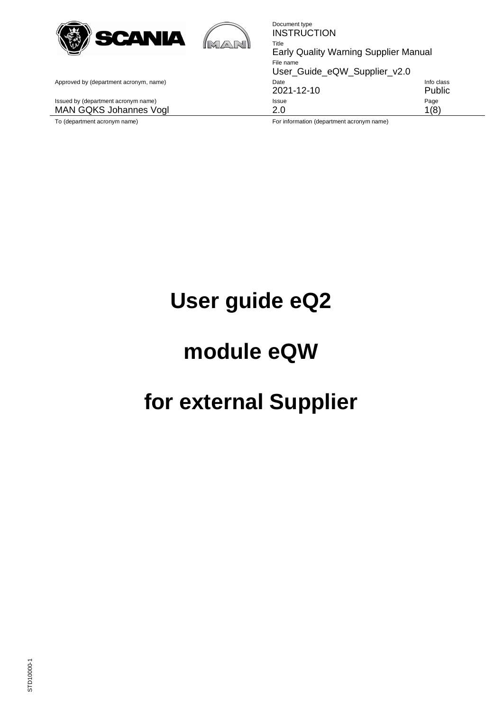

Document type **INSTRUCTION** Title Early Quality Warning Supplier Manual File name User\_Guide\_eQW\_Supplier\_v2.0 Approved by (department acronym, name) and according to the United State Info class 2021-12-10 Public Issued by (department acronym name) Issue Page MAN GQKS Johannes Vogl 2.0 2.0 1(8)

To (department acronym name) For information (department acronym name)

# **User guide eQ2**

# **module eQW**

# **for external Supplier**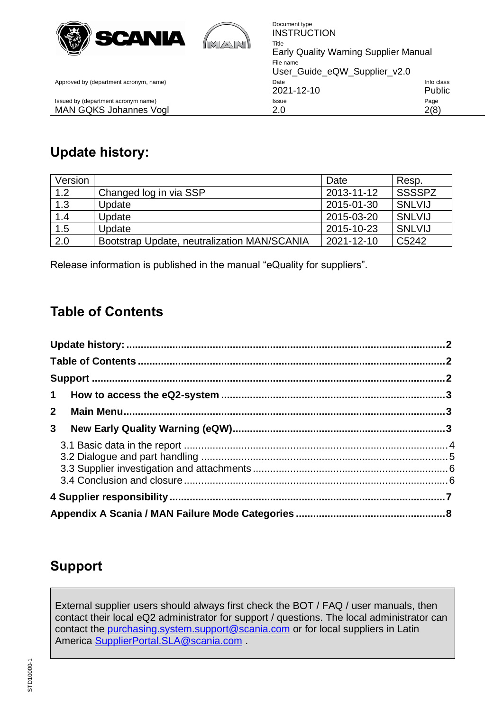

Document type **INSTRUCTION** Title Early Quality Warning Supplier Manual File name User\_Guide\_eQW\_Supplier\_v2.0 Approved by (department acronym, name) and the Info class of the Info class of the Info class of the Info class 2021-12-10 Public<br> MAN GQKS Johannes Vogl 2.0 2.0 2(8)

## <span id="page-1-0"></span>**Update history:**

| Version |                                             | Date       | Resp.             |
|---------|---------------------------------------------|------------|-------------------|
| 1.2     | Changed log in via SSP                      | 2013-11-12 | <b>SSSSPZ</b>     |
| 1.3     | Update                                      | 2015-01-30 | <b>SNLVIJ</b>     |
| 1.4     | Update                                      | 2015-03-20 | <b>SNLVIJ</b>     |
| 1.5     | Update                                      | 2015-10-23 | <b>SNLVIJ</b>     |
| 2.0     | Bootstrap Update, neutralization MAN/SCANIA | 2021-12-10 | C <sub>5242</sub> |

Release information is published in the manual "eQuality for suppliers".

#### <span id="page-1-1"></span>**Table of Contents**

| 1              |  |
|----------------|--|
| 2 <sup>1</sup> |  |
| 3 <sup>1</sup> |  |
|                |  |
|                |  |
|                |  |

## <span id="page-1-2"></span>**Support**

External supplier users should always first check the BOT / FAQ / user manuals, then contact their local eQ2 administrator for support / questions. The local administrator can contact the [purchasing.system.support@scania.com](mailto:purchasing.system.support@scania.com) or for local suppliers in Latin America [SupplierPortal.SLA@scania.com](mailto:SupplierPortal.SLA@scania.com) .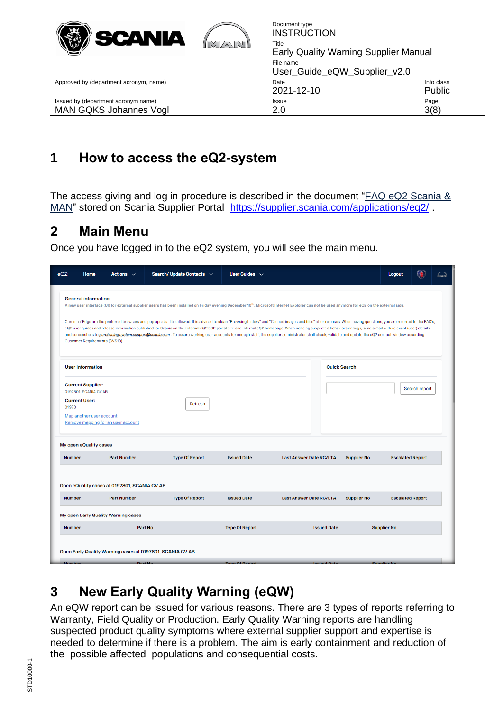

Document type **INSTRUCTION** Title Early Quality Warning Supplier Manual File name User\_Guide\_eQW\_Supplier\_v2.0 Approved by (department acronym, name) and the Info class of the Info class of the Info class of the Info class 2021-12-10 Public Issued by (department acronym name) **ISSUE ISSUE ISSUE Page Page** MAN GQKS Johannes Vogl 3(8) 32.0 32.0

## <span id="page-2-0"></span>**1 How to access the eQ2-system**

The access giving and log in procedure is described in the document "FAQ eQ2 Scania & [MAN"](https://supplier.scania.com/wp-content/uploads/SSP_FAQ_eQ2_External_v4.pdf) stored on Scania Supplier Portal <https://supplier.scania.com/applications/eq2/> .

#### <span id="page-2-1"></span>**2 Main Menu**

Once you have logged in to the eQ2 system, you will see the main menu.

| eQ2<br>Home                                                                                                                                                                                                                            | Actions $\vee$                               | Search/ Update Contacts $\sim$ | User Guides $\sim$    |                                                                                                                                                                                                                                                                                                                                                                                                                                                                                                                                                                                                                                                     |                     | Logout                  |               |  |
|----------------------------------------------------------------------------------------------------------------------------------------------------------------------------------------------------------------------------------------|----------------------------------------------|--------------------------------|-----------------------|-----------------------------------------------------------------------------------------------------------------------------------------------------------------------------------------------------------------------------------------------------------------------------------------------------------------------------------------------------------------------------------------------------------------------------------------------------------------------------------------------------------------------------------------------------------------------------------------------------------------------------------------------------|---------------------|-------------------------|---------------|--|
| <b>General information</b><br>A new user interface (UI) for external supplier users has been installed on Friday evening December 10 <sup>th</sup> . Microsoft Internet Explorer can not be used anymore for eQ2 on the external side. |                                              |                                |                       |                                                                                                                                                                                                                                                                                                                                                                                                                                                                                                                                                                                                                                                     |                     |                         |               |  |
| Customer Requirements (CVS10).                                                                                                                                                                                                         |                                              |                                |                       | Chrome / Edge are the preferred browsers and pop ups shall be allowed. It is advised to clean "Browsing history" and "Cached images and files" after releases. When having questions, you are referred to the FAQ's,<br>eQ2 user guides and release information published for Scania on the external eQ2 SSP portal site and internal eQ2 homepage. When noticing suspected behaviors or bugs, send a mail with relevant (user) details<br>and screenshots to purchasing.system.support@scania.com . To assure working user accounts for enough staff, the supplier administrator shall check, validate and update the eQ2 contact window according |                     |                         |               |  |
| <b>User Information</b>                                                                                                                                                                                                                |                                              |                                |                       |                                                                                                                                                                                                                                                                                                                                                                                                                                                                                                                                                                                                                                                     | <b>Quick Search</b> |                         |               |  |
| <b>Current Supplier:</b><br>0197801, SCANIA CV AB                                                                                                                                                                                      |                                              |                                |                       |                                                                                                                                                                                                                                                                                                                                                                                                                                                                                                                                                                                                                                                     |                     |                         | Search report |  |
| <b>Current User:</b><br>01978                                                                                                                                                                                                          |                                              | Refresh                        |                       |                                                                                                                                                                                                                                                                                                                                                                                                                                                                                                                                                                                                                                                     |                     |                         |               |  |
| Map another user account                                                                                                                                                                                                               | Remove mapping for an user account           |                                |                       |                                                                                                                                                                                                                                                                                                                                                                                                                                                                                                                                                                                                                                                     |                     |                         |               |  |
| My open eQuality cases                                                                                                                                                                                                                 |                                              |                                |                       |                                                                                                                                                                                                                                                                                                                                                                                                                                                                                                                                                                                                                                                     |                     |                         |               |  |
| <b>Number</b>                                                                                                                                                                                                                          | <b>Part Number</b>                           | <b>Type Of Report</b>          | <b>Issued Date</b>    | <b>Last Answer Date RC/LTA</b>                                                                                                                                                                                                                                                                                                                                                                                                                                                                                                                                                                                                                      | <b>Supplier No</b>  | <b>Escalated Report</b> |               |  |
|                                                                                                                                                                                                                                        | Open eQuality cases at 0197801, SCANIA CV AB |                                |                       |                                                                                                                                                                                                                                                                                                                                                                                                                                                                                                                                                                                                                                                     |                     |                         |               |  |
| <b>Number</b>                                                                                                                                                                                                                          | <b>Part Number</b>                           | <b>Type Of Report</b>          | <b>Issued Date</b>    | <b>Last Answer Date RC/LTA</b>                                                                                                                                                                                                                                                                                                                                                                                                                                                                                                                                                                                                                      | <b>Supplier No</b>  | <b>Escalated Report</b> |               |  |
|                                                                                                                                                                                                                                        | My open Early Quality Warning cases          |                                |                       |                                                                                                                                                                                                                                                                                                                                                                                                                                                                                                                                                                                                                                                     |                     |                         |               |  |
| <b>Number</b>                                                                                                                                                                                                                          | Part No                                      |                                | <b>Type Of Report</b> | <b>Issued Date</b>                                                                                                                                                                                                                                                                                                                                                                                                                                                                                                                                                                                                                                  |                     | <b>Supplier No</b>      |               |  |
| Open Early Quality Warning cases at 0197801, SCANIA CV AB                                                                                                                                                                              |                                              |                                |                       |                                                                                                                                                                                                                                                                                                                                                                                                                                                                                                                                                                                                                                                     |                     |                         |               |  |
|                                                                                                                                                                                                                                        |                                              |                                |                       |                                                                                                                                                                                                                                                                                                                                                                                                                                                                                                                                                                                                                                                     |                     |                         |               |  |

## <span id="page-2-2"></span>**3 New Early Quality Warning (eQW)**

An eQW report can be issued for various reasons. There are 3 types of reports referring to Warranty, Field Quality or Production. Early Quality Warning reports are handling suspected product quality symptoms where external supplier support and expertise is needed to determine if there is a problem. The aim is early containment and reduction of the possible affected populations and consequential costs.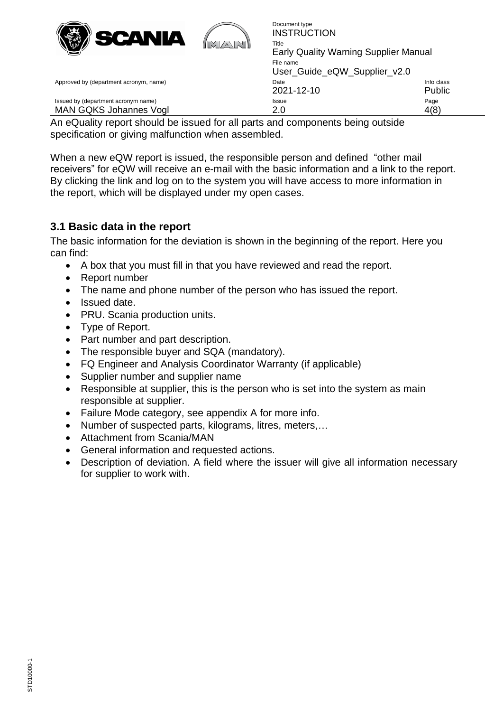

Document type **INSTRUCTION** Title Early Quality Warning Supplier Manual File name User\_Guide\_eQW\_Supplier\_v2.0 Approved by (department acronym, name) and the Info class of the Info class of the Info class of the Info class 2021-12-10 Public Issued by (department acronym name) **ISSUE ISSUE ISSUE Page Page** MAN GQKS Johannes Vogl 2.0 2.0 4(8)

An eQuality report should be issued for all parts and components being outside specification or giving malfunction when assembled.

When a new eQW report is issued, the responsible person and defined "other mail receivers" for eQW will receive an e-mail with the basic information and a link to the report. By clicking the link and log on to the system you will have access to more information in the report, which will be displayed under my open cases.

#### <span id="page-3-0"></span>**3.1 Basic data in the report**

The basic information for the deviation is shown in the beginning of the report. Here you can find:

- A box that you must fill in that you have reviewed and read the report.
- Report number
- The name and phone number of the person who has issued the report.
- Issued date.
- PRU. Scania production units.
- Type of Report.
- Part number and part description.
- The responsible buyer and SQA (mandatory).
- FQ Engineer and Analysis Coordinator Warranty (if applicable)
- Supplier number and supplier name
- Responsible at supplier, this is the person who is set into the system as main responsible at supplier.
- Failure Mode category, see appendix A for more info.
- Number of suspected parts, kilograms, litres, meters,…
- Attachment from Scania/MAN
- General information and requested actions.
- Description of deviation. A field where the issuer will give all information necessary for supplier to work with.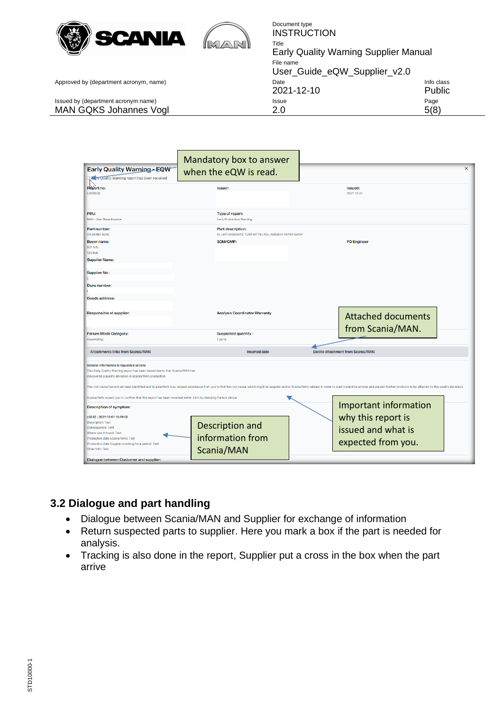

Document type **INSTRUCTION** Title Early Quality Warning Supplier Manual File name User\_Guide\_eQW\_Supplier\_v2.0 Approved by (department acronym, name) and the United State Info class control of the United State Info class 2021-12-10 Public Issued by (department acronym name) **ISSUE ISSUE ISSUE ISSUE Page** MAN GQKS Johannes Vogl 2.0 2.0 5(8)

| Early Quality Warning - EQW<br><b>E</b> iy Quality Warning report has been received                                                                                                                                                                     | Mandatory box to answer<br>when the eQW is read.                       | $\times$                                                                                                                                                                                                                      |
|---------------------------------------------------------------------------------------------------------------------------------------------------------------------------------------------------------------------------------------------------------|------------------------------------------------------------------------|-------------------------------------------------------------------------------------------------------------------------------------------------------------------------------------------------------------------------------|
| Report no:<br>E009026                                                                                                                                                                                                                                   | <b>Issuer:</b>                                                         | Issued:<br>2021-12-01                                                                                                                                                                                                         |
| PRU:<br>MAN - Bus Starachowice                                                                                                                                                                                                                          | Type of report:<br>Early Production Warning                            |                                                                                                                                                                                                                               |
| Part number:<br>34.25480-5242                                                                                                                                                                                                                           | Part description:<br>EL-LEITUNGSSATZ TUER MITTELTEIL AUSSENTASTER NACH |                                                                                                                                                                                                                               |
| <b>Buver name:</b><br>BO1 N.N.<br>123456<br><b>Supplier Name:</b>                                                                                                                                                                                       | SOM/OMP:                                                               | <b>FQ Engineer</b>                                                                                                                                                                                                            |
| <b>Supplier No:</b><br>Duns number:                                                                                                                                                                                                                     |                                                                        |                                                                                                                                                                                                                               |
| <b>Goods address:</b>                                                                                                                                                                                                                                   |                                                                        |                                                                                                                                                                                                                               |
| Responsible at supplier:                                                                                                                                                                                                                                | <b>Analysis Coordinator Warranty</b>                                   | <b>Attached documents</b>                                                                                                                                                                                                     |
| <b>Failure Mode Category:</b><br>Assembling                                                                                                                                                                                                             | <b>Suspected quantity:</b><br>1 parts                                  | from Scania/MAN.                                                                                                                                                                                                              |
| <b>Attachments links from Scania/MAN</b>                                                                                                                                                                                                                | <b>Inserted date</b>                                                   | Delete attachment from Scania/MAN                                                                                                                                                                                             |
| General information & requested actions<br>This Early Quality Warning report has been issued due to that Scania/MAN has<br>discovered a quality deviation in Scania/MAN production                                                                      |                                                                        | The root cause has not yet been identified and Scania/MAN now request assistance from you to find the root cause, which might be supplier and/or Scania/MAN related, in order to start corrective actions and prevent further |
| Scania/MAN expect you to confirm that this report has been received within 24 h by checking the box above.                                                                                                                                              |                                                                        |                                                                                                                                                                                                                               |
| <b>Description of symptom:</b><br>c5242: 2021-12-01 10:49:02<br><b>Description: Test</b><br>Consequence: Test<br>Where was it found: Test<br>Production date Scania/MAN: Test<br>Production date Supplier/marking/time period: Test<br>Other info: Test | Description and<br>information from<br>Scania/MAN                      | Important information<br>why this report is<br>issued and what is<br>expected from you.                                                                                                                                       |

#### <span id="page-4-0"></span>**3.2 Dialogue and part handling**

- Dialogue between Scania/MAN and Supplier for exchange of information
- Return suspected parts to supplier. Here you mark a box if the part is needed for analysis.
- Tracking is also done in the report, Supplier put a cross in the box when the part arrive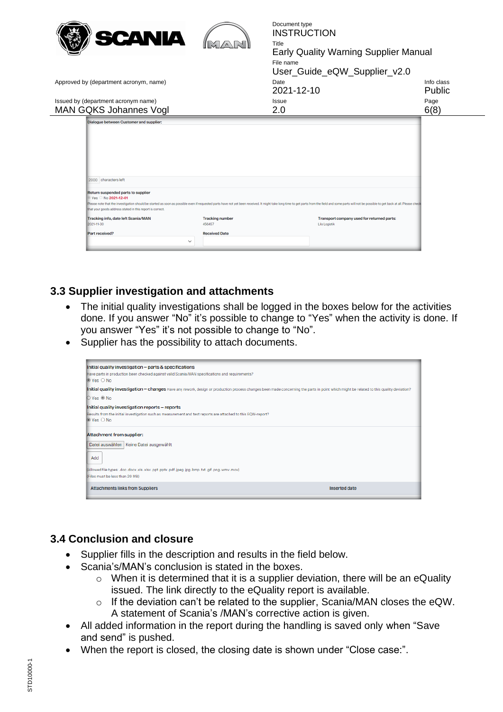

#### <span id="page-5-0"></span>**3.3 Supplier investigation and attachments**

- The initial quality investigations shall be logged in the boxes below for the activities done. If you answer "No" it's possible to change to "Yes" when the activity is done. If you answer "Yes" it's not possible to change to "No".
- Supplier has the possibility to attach documents.

| <b>Attachments links from Suppliers</b>                                                                                                                                                 | <b>Inserted date</b> |
|-----------------------------------------------------------------------------------------------------------------------------------------------------------------------------------------|----------------------|
| (Allowed file types: .doc .docx .xls x.lsx .ppt .pptx .pdf .jpeg .jpg .bmp .txt .gif .png .wmv .mov)<br>(Files must be less than 20 MB)                                                 |                      |
| Add                                                                                                                                                                                     |                      |
| Datei auswählen   Keine Datei ausgewählt                                                                                                                                                |                      |
| Attachment from supplier:                                                                                                                                                               |                      |
| $\bullet$ Yes $\circ$ No                                                                                                                                                                |                      |
| Initial quality investigation reports - reports<br>Results from the initial investigation such as measurement and test reports are attached to this EQW-report?                         |                      |
| IO Yes ® No                                                                                                                                                                             |                      |
| Initial quality investigation - changes Have any rework, design or production process changes been made concerning the parts in point which might be related to this quality deviation? |                      |
| Initial quality investigation - parts & specifications<br>Have parts in production been checked against valid Scania/MAN specifications and requirements?<br>$\bullet$ Yes $\circ$ No   |                      |

#### <span id="page-5-1"></span>**3.4 Conclusion and closure**

- Supplier fills in the description and results in the field below.
- Scania's/MAN's conclusion is stated in the boxes.
	- $\circ$  When it is determined that it is a supplier deviation, there will be an eQuality issued. The link directly to the eQuality report is available.
	- o If the deviation can't be related to the supplier, Scania/MAN closes the eQW. A statement of Scania's /MAN's corrective action is given.
- All added information in the report during the handling is saved only when "Save and send" is pushed.
- When the report is closed, the closing date is shown under "Close case:".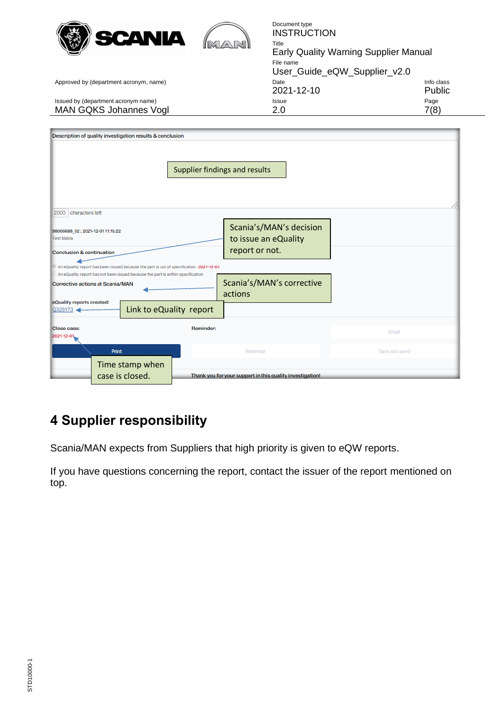

Document type **INSTRUCTION** Title Early Quality Warning Supplier Manual File name User\_Guide\_eQW\_Supplier\_v2.0 Approved by (department acronym, name) and the United State Info class control of the United State Info class 2021-12-10 Public<br>
Issue Page MAN GQKS Johannes Vogl 2.0 2.0 2.0

## Issued by (department acronym name) Issue

| Description of quality investigation results & conclusion                                                                                                                 |                         |                                                                   |               |
|---------------------------------------------------------------------------------------------------------------------------------------------------------------------------|-------------------------|-------------------------------------------------------------------|---------------|
|                                                                                                                                                                           |                         | Supplier findings and results                                     |               |
| 2000 characters left                                                                                                                                                      |                         |                                                                   |               |
| 98006688_02; 2021-12-01 11:15:22<br><b>Test blabla</b>                                                                                                                    |                         | Scania's/MAN's decision<br>to issue an eQuality<br>report or not. |               |
| <b>Conclusion &amp; continuation</b>                                                                                                                                      |                         |                                                                   |               |
| An eQuality report has been issued because the part is out of specification 2021-12-01<br>An eQuality report has not been issued because the part is within specification |                         |                                                                   |               |
| <b>Corrective actions at Scania/MAN</b>                                                                                                                                   |                         | Scania's/MAN's corrective<br>actions                              |               |
| eQuality reports created:<br>Q326173                                                                                                                                      | Link to eQuality report |                                                                   |               |
| Close case:<br>2021-12-01                                                                                                                                                 | <b>Reminder:</b>        |                                                                   | Email         |
| Print                                                                                                                                                                     |                         | Reminder                                                          | Save and send |
| Time stamp when<br>case is closed.                                                                                                                                        |                         | Thank you for your support in this quality investigation!         |               |

# <span id="page-6-0"></span>**4 Supplier responsibility**

Scania/MAN expects from Suppliers that high priority is given to eQW reports.

If you have questions concerning the report, contact the issuer of the report mentioned on top.